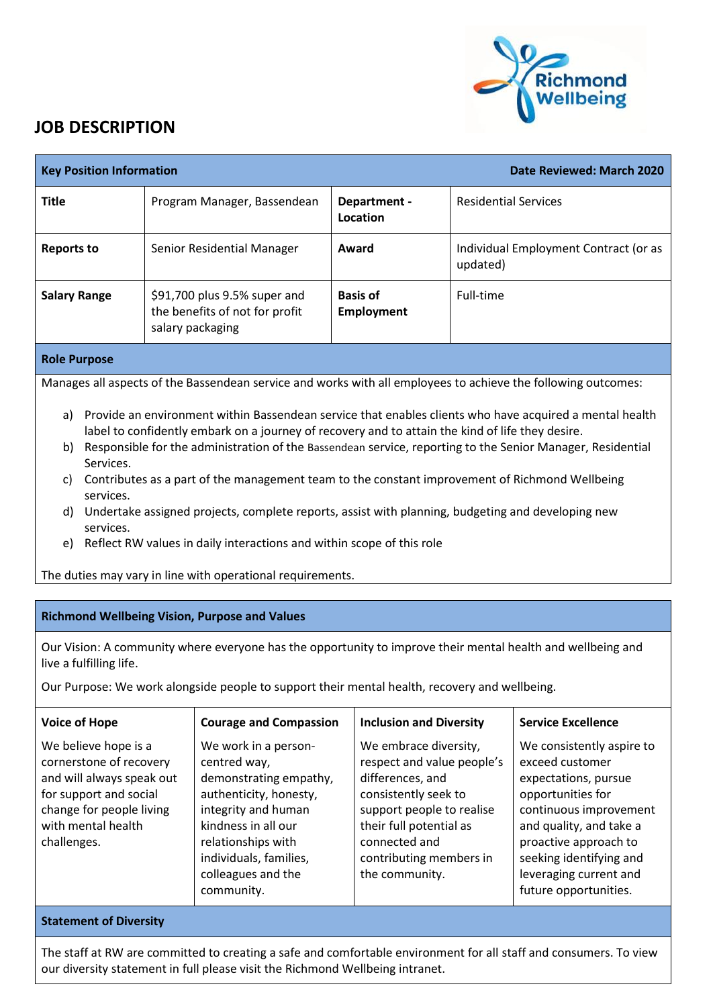

## **JOB DESCRIPTION**

| Date Reviewed: March 2020                                                                                                                                                                                                                             |           |                                                                                                                                                                                                                       |                                                                                                                                                                                                                                                                                                                                            | <b>Key Position Information</b>                                                                                                                                         |
|-------------------------------------------------------------------------------------------------------------------------------------------------------------------------------------------------------------------------------------------------------|-----------|-----------------------------------------------------------------------------------------------------------------------------------------------------------------------------------------------------------------------|--------------------------------------------------------------------------------------------------------------------------------------------------------------------------------------------------------------------------------------------------------------------------------------------------------------------------------------------|-------------------------------------------------------------------------------------------------------------------------------------------------------------------------|
| <b>Residential Services</b>                                                                                                                                                                                                                           |           | Department -<br>Location                                                                                                                                                                                              | Program Manager, Bassendean                                                                                                                                                                                                                                                                                                                | <b>Title</b>                                                                                                                                                            |
| Individual Employment Contract (or as                                                                                                                                                                                                                 | updated)  | Award                                                                                                                                                                                                                 | Senior Residential Manager                                                                                                                                                                                                                                                                                                                 | <b>Reports to</b>                                                                                                                                                       |
|                                                                                                                                                                                                                                                       | Full-time | <b>Basis of</b><br><b>Employment</b>                                                                                                                                                                                  | \$91,700 plus 9.5% super and<br>the benefits of not for profit<br>salary packaging                                                                                                                                                                                                                                                         | <b>Salary Range</b>                                                                                                                                                     |
|                                                                                                                                                                                                                                                       |           |                                                                                                                                                                                                                       |                                                                                                                                                                                                                                                                                                                                            | <b>Role Purpose</b>                                                                                                                                                     |
| Manages all aspects of the Bassendean service and works with all employees to achieve the following outcomes:                                                                                                                                         |           |                                                                                                                                                                                                                       |                                                                                                                                                                                                                                                                                                                                            |                                                                                                                                                                         |
|                                                                                                                                                                                                                                                       |           |                                                                                                                                                                                                                       | Contributes as a part of the management team to the constant improvement of Richmond Wellbeing<br>Undertake assigned projects, complete reports, assist with planning, budgeting and developing new<br>Reflect RW values in daily interactions and within scope of this role<br>The duties may vary in line with operational requirements. | C)<br>services.<br>d)<br>services.<br>e)                                                                                                                                |
|                                                                                                                                                                                                                                                       |           |                                                                                                                                                                                                                       |                                                                                                                                                                                                                                                                                                                                            |                                                                                                                                                                         |
|                                                                                                                                                                                                                                                       |           |                                                                                                                                                                                                                       | <b>Richmond Wellbeing Vision, Purpose and Values</b>                                                                                                                                                                                                                                                                                       |                                                                                                                                                                         |
| Our Vision: A community where everyone has the opportunity to improve their mental health and wellbeing and                                                                                                                                           |           |                                                                                                                                                                                                                       |                                                                                                                                                                                                                                                                                                                                            | live a fulfilling life.                                                                                                                                                 |
|                                                                                                                                                                                                                                                       |           |                                                                                                                                                                                                                       | Our Purpose: We work alongside people to support their mental health, recovery and wellbeing.                                                                                                                                                                                                                                              |                                                                                                                                                                         |
| <b>Service Excellence</b>                                                                                                                                                                                                                             |           | <b>Inclusion and Diversity</b>                                                                                                                                                                                        | <b>Courage and Compassion</b>                                                                                                                                                                                                                                                                                                              | <b>Voice of Hope</b>                                                                                                                                                    |
| We consistently aspire to<br>exceed customer<br>expectations, pursue<br>opportunities for<br>continuous improvement<br>and quality, and take a<br>proactive approach to<br>seeking identifying and<br>leveraging current and<br>future opportunities. |           | We embrace diversity,<br>respect and value people's<br>differences, and<br>consistently seek to<br>support people to realise<br>their full potential as<br>connected and<br>contributing members in<br>the community. | We work in a person-<br>centred way,<br>demonstrating empathy,<br>authenticity, honesty,<br>integrity and human<br>kindness in all our<br>relationships with<br>individuals, families,<br>colleagues and the<br>community.                                                                                                                 | We believe hope is a<br>cornerstone of recovery<br>and will always speak out<br>for support and social<br>change for people living<br>with mental health<br>challenges. |
|                                                                                                                                                                                                                                                       |           |                                                                                                                                                                                                                       | The staff at RW are committed to creating a safe and comfortable environment for all staff and consumers. To view                                                                                                                                                                                                                          | <b>Statement of Diversity</b>                                                                                                                                           |

our diversity statement in full please visit the Richmond Wellbeing intranet.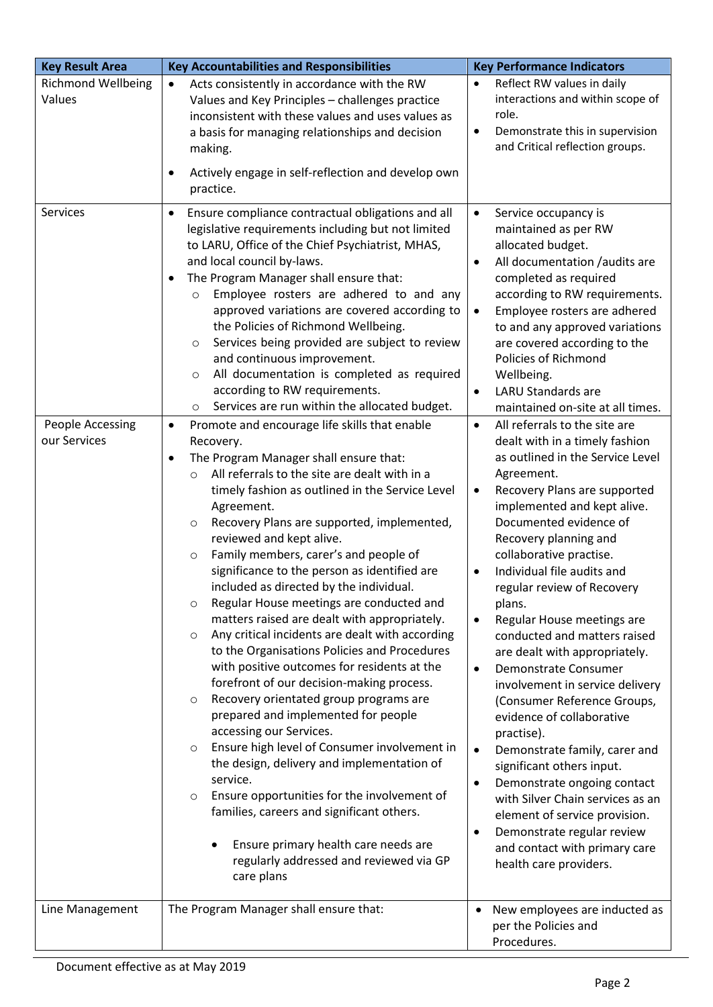| <b>Key Result Area</b>              | <b>Key Accountabilities and Responsibilities</b>                                                                                                                                                                                                                                                                                                                                                                                                                                                                                                                                                                                                                                                                                                                                                                                                                                                                                                                                                                                                                                                                                                                                     | <b>Key Performance Indicators</b>                                                                                                                                                                                                                                                                                                                                                                                                                                                                                                                                                                                                                                                                                                                                                                                                                                                                    |
|-------------------------------------|--------------------------------------------------------------------------------------------------------------------------------------------------------------------------------------------------------------------------------------------------------------------------------------------------------------------------------------------------------------------------------------------------------------------------------------------------------------------------------------------------------------------------------------------------------------------------------------------------------------------------------------------------------------------------------------------------------------------------------------------------------------------------------------------------------------------------------------------------------------------------------------------------------------------------------------------------------------------------------------------------------------------------------------------------------------------------------------------------------------------------------------------------------------------------------------|------------------------------------------------------------------------------------------------------------------------------------------------------------------------------------------------------------------------------------------------------------------------------------------------------------------------------------------------------------------------------------------------------------------------------------------------------------------------------------------------------------------------------------------------------------------------------------------------------------------------------------------------------------------------------------------------------------------------------------------------------------------------------------------------------------------------------------------------------------------------------------------------------|
| <b>Richmond Wellbeing</b><br>Values | Acts consistently in accordance with the RW<br>$\bullet$<br>Values and Key Principles - challenges practice<br>inconsistent with these values and uses values as<br>a basis for managing relationships and decision<br>making.<br>Actively engage in self-reflection and develop own<br>practice.                                                                                                                                                                                                                                                                                                                                                                                                                                                                                                                                                                                                                                                                                                                                                                                                                                                                                    | Reflect RW values in daily<br>$\bullet$<br>interactions and within scope of<br>role.<br>Demonstrate this in supervision<br>$\bullet$<br>and Critical reflection groups.                                                                                                                                                                                                                                                                                                                                                                                                                                                                                                                                                                                                                                                                                                                              |
| Services<br>People Accessing        | Ensure compliance contractual obligations and all<br>٠<br>legislative requirements including but not limited<br>to LARU, Office of the Chief Psychiatrist, MHAS,<br>and local council by-laws.<br>The Program Manager shall ensure that:<br>$\bullet$<br>Employee rosters are adhered to and any<br>$\circ$<br>approved variations are covered according to<br>the Policies of Richmond Wellbeing.<br>Services being provided are subject to review<br>$\circ$<br>and continuous improvement.<br>All documentation is completed as required<br>$\circ$<br>according to RW requirements.<br>Services are run within the allocated budget.<br>$\circ$<br>Promote and encourage life skills that enable<br>$\bullet$                                                                                                                                                                                                                                                                                                                                                                                                                                                                    | Service occupancy is<br>$\bullet$<br>maintained as per RW<br>allocated budget.<br>All documentation /audits are<br>$\bullet$<br>completed as required<br>according to RW requirements.<br>Employee rosters are adhered<br>$\bullet$<br>to and any approved variations<br>are covered according to the<br>Policies of Richmond<br>Wellbeing.<br><b>LARU Standards are</b><br>$\bullet$<br>maintained on-site at all times.<br>All referrals to the site are<br>$\bullet$                                                                                                                                                                                                                                                                                                                                                                                                                              |
| our Services                        | Recovery.<br>The Program Manager shall ensure that:<br>All referrals to the site are dealt with in a<br>$\Omega$<br>timely fashion as outlined in the Service Level<br>Agreement.<br>Recovery Plans are supported, implemented,<br>$\circ$<br>reviewed and kept alive.<br>Family members, carer's and people of<br>$\circ$<br>significance to the person as identified are<br>included as directed by the individual.<br>Regular House meetings are conducted and<br>$\circ$<br>matters raised are dealt with appropriately.<br>Any critical incidents are dealt with according<br>$\circ$<br>to the Organisations Policies and Procedures<br>with positive outcomes for residents at the<br>forefront of our decision-making process.<br>Recovery orientated group programs are<br>$\circ$<br>prepared and implemented for people<br>accessing our Services.<br>Ensure high level of Consumer involvement in<br>$\circ$<br>the design, delivery and implementation of<br>service.<br>Ensure opportunities for the involvement of<br>O<br>families, careers and significant others.<br>Ensure primary health care needs are<br>regularly addressed and reviewed via GP<br>care plans | dealt with in a timely fashion<br>as outlined in the Service Level<br>Agreement.<br>Recovery Plans are supported<br>$\bullet$<br>implemented and kept alive.<br>Documented evidence of<br>Recovery planning and<br>collaborative practise.<br>Individual file audits and<br>$\bullet$<br>regular review of Recovery<br>plans.<br>Regular House meetings are<br>$\bullet$<br>conducted and matters raised<br>are dealt with appropriately.<br><b>Demonstrate Consumer</b><br>$\bullet$<br>involvement in service delivery<br>(Consumer Reference Groups,<br>evidence of collaborative<br>practise).<br>Demonstrate family, carer and<br>$\bullet$<br>significant others input.<br>Demonstrate ongoing contact<br>$\bullet$<br>with Silver Chain services as an<br>element of service provision.<br>Demonstrate regular review<br>$\bullet$<br>and contact with primary care<br>health care providers. |
| Line Management                     | The Program Manager shall ensure that:                                                                                                                                                                                                                                                                                                                                                                                                                                                                                                                                                                                                                                                                                                                                                                                                                                                                                                                                                                                                                                                                                                                                               | New employees are inducted as<br>٠<br>per the Policies and<br>Procedures.                                                                                                                                                                                                                                                                                                                                                                                                                                                                                                                                                                                                                                                                                                                                                                                                                            |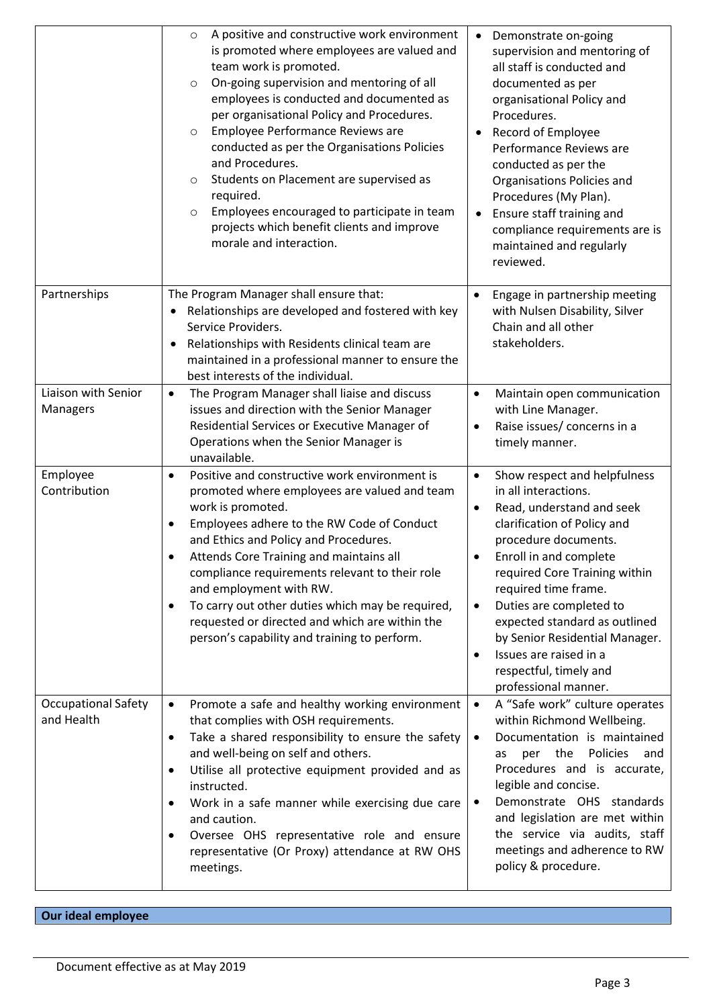|                                          | A positive and constructive work environment<br>$\circ$<br>is promoted where employees are valued and<br>team work is promoted.<br>On-going supervision and mentoring of all<br>$\circ$<br>employees is conducted and documented as<br>per organisational Policy and Procedures.<br>Employee Performance Reviews are<br>$\circ$<br>conducted as per the Organisations Policies<br>and Procedures.<br>Students on Placement are supervised as<br>$\circ$<br>required.<br>Employees encouraged to participate in team<br>$\circ$<br>projects which benefit clients and improve<br>morale and interaction. | • Demonstrate on-going<br>supervision and mentoring of<br>all staff is conducted and<br>documented as per<br>organisational Policy and<br>Procedures.<br>Record of Employee<br>$\bullet$<br>Performance Reviews are<br>conducted as per the<br>Organisations Policies and<br>Procedures (My Plan).<br>Ensure staff training and<br>$\bullet$<br>compliance requirements are is<br>maintained and regularly<br>reviewed.                   |
|------------------------------------------|---------------------------------------------------------------------------------------------------------------------------------------------------------------------------------------------------------------------------------------------------------------------------------------------------------------------------------------------------------------------------------------------------------------------------------------------------------------------------------------------------------------------------------------------------------------------------------------------------------|-------------------------------------------------------------------------------------------------------------------------------------------------------------------------------------------------------------------------------------------------------------------------------------------------------------------------------------------------------------------------------------------------------------------------------------------|
| Partnerships                             | The Program Manager shall ensure that:<br>Relationships are developed and fostered with key<br>Service Providers.<br>Relationships with Residents clinical team are<br>$\bullet$<br>maintained in a professional manner to ensure the<br>best interests of the individual.                                                                                                                                                                                                                                                                                                                              | Engage in partnership meeting<br>$\bullet$<br>with Nulsen Disability, Silver<br>Chain and all other<br>stakeholders.                                                                                                                                                                                                                                                                                                                      |
| Liaison with Senior<br>Managers          | The Program Manager shall liaise and discuss<br>$\bullet$<br>issues and direction with the Senior Manager<br>Residential Services or Executive Manager of<br>Operations when the Senior Manager is<br>unavailable.                                                                                                                                                                                                                                                                                                                                                                                      | Maintain open communication<br>$\bullet$<br>with Line Manager.<br>Raise issues/ concerns in a<br>$\bullet$<br>timely manner.                                                                                                                                                                                                                                                                                                              |
| Employee<br>Contribution                 | Positive and constructive work environment is<br>$\bullet$<br>promoted where employees are valued and team<br>work is promoted.<br>Employees adhere to the RW Code of Conduct<br>٠<br>and Ethics and Policy and Procedures.<br>Attends Core Training and maintains all<br>compliance requirements relevant to their role<br>and employment with RW.<br>To carry out other duties which may be required,<br>٠<br>requested or directed and which are within the<br>person's capability and training to perform.                                                                                          | Show respect and helpfulness<br>$\bullet$<br>in all interactions.<br>Read, understand and seek<br>٠<br>clarification of Policy and<br>procedure documents.<br>Enroll in and complete<br>required Core Training within<br>required time frame.<br>Duties are completed to<br>$\bullet$<br>expected standard as outlined<br>by Senior Residential Manager.<br>Issues are raised in a<br>٠<br>respectful, timely and<br>professional manner. |
| <b>Occupational Safety</b><br>and Health | Promote a safe and healthy working environment<br>$\bullet$<br>that complies with OSH requirements.<br>Take a shared responsibility to ensure the safety<br>$\bullet$<br>and well-being on self and others.<br>Utilise all protective equipment provided and as<br>٠<br>instructed.<br>Work in a safe manner while exercising due care<br>٠<br>and caution.<br>Oversee OHS representative role and ensure<br>٠<br>representative (Or Proxy) attendance at RW OHS<br>meetings.                                                                                                                           | A "Safe work" culture operates<br>$\bullet$<br>within Richmond Wellbeing.<br>Documentation is maintained<br>$\bullet$<br>Policies<br>per the<br>and<br>as<br>Procedures and is accurate,<br>legible and concise.<br>Demonstrate OHS standards<br>$\bullet$<br>and legislation are met within<br>the service via audits, staff<br>meetings and adherence to RW<br>policy & procedure.                                                      |